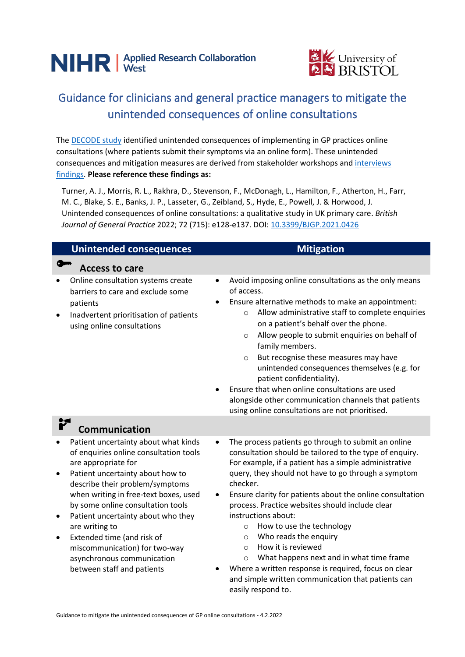



## Guidance for clinicians and general practice managers to mitigate the unintended consequences of online consultations

The [DECODE study](https://arc-w.nihr.ac.uk/research/projects/exploring-the-unexpected-effects-of-digital-health-tools/) identified unintended consequences of implementing in GP practices online consultations (where patients submit their symptoms via an online form). These unintended consequences and mitigation measures are derived from stakeholder workshops an[d interviews](https://doi.org/10.3399/BJGP.2021.0426) [findings.](https://doi.org/10.3399/BJGP.2021.0426) **Please reference these findings as:**

Turner, A. J., Morris, R. L., Rakhra, D., Stevenson, F., McDonagh, L., Hamilton, F., Atherton, H., Farr, M. C., Blake, S. E., Banks, J. P., Lasseter, G., Zeibland, S., Hyde, E., Powell, J. & Horwood, J. Unintended consequences of online consultations: a qualitative study in UK primary care. *British Journal of General Practice* 2022; 72 (715): e128-e137. DOI[: 10.3399/BJGP.2021.0426](https://doi.org/10.3399/BJGP.2021.0426)

| <b>Unintended consequences</b>                                                                                                                                                                                                                                                                                                                                                                                                                             | <b>Mitigation</b>                                                                                                                                                                                                                                                                                                                                                                                                                                                                                                                                                                                                                                                                            |  |
|------------------------------------------------------------------------------------------------------------------------------------------------------------------------------------------------------------------------------------------------------------------------------------------------------------------------------------------------------------------------------------------------------------------------------------------------------------|----------------------------------------------------------------------------------------------------------------------------------------------------------------------------------------------------------------------------------------------------------------------------------------------------------------------------------------------------------------------------------------------------------------------------------------------------------------------------------------------------------------------------------------------------------------------------------------------------------------------------------------------------------------------------------------------|--|
| <b>Access to care</b>                                                                                                                                                                                                                                                                                                                                                                                                                                      |                                                                                                                                                                                                                                                                                                                                                                                                                                                                                                                                                                                                                                                                                              |  |
| Online consultation systems create<br>barriers to care and exclude some<br>patients<br>Inadvertent prioritisation of patients<br>٠<br>using online consultations                                                                                                                                                                                                                                                                                           | Avoid imposing online consultations as the only means<br>٠<br>of access.<br>Ensure alternative methods to make an appointment:<br>$\bullet$<br>Allow administrative staff to complete enquiries<br>$\circ$<br>on a patient's behalf over the phone.<br>Allow people to submit enquiries on behalf of<br>$\circ$<br>family members.<br>But recognise these measures may have<br>$\circ$<br>unintended consequences themselves (e.g. for<br>patient confidentiality).<br>Ensure that when online consultations are used<br>alongside other communication channels that patients<br>using online consultations are not prioritised.                                                             |  |
| <b>Communication</b>                                                                                                                                                                                                                                                                                                                                                                                                                                       |                                                                                                                                                                                                                                                                                                                                                                                                                                                                                                                                                                                                                                                                                              |  |
| Patient uncertainty about what kinds<br>of enquiries online consultation tools<br>are appropriate for<br>Patient uncertainty about how to<br>$\bullet$<br>describe their problem/symptoms<br>when writing in free-text boxes, used<br>by some online consultation tools<br>Patient uncertainty about who they<br>are writing to<br>Extended time (and risk of<br>miscommunication) for two-way<br>asynchronous communication<br>between staff and patients | The process patients go through to submit an online<br>consultation should be tailored to the type of enquiry.<br>For example, if a patient has a simple administrative<br>query, they should not have to go through a symptom<br>checker.<br>Ensure clarity for patients about the online consultation<br>process. Practice websites should include clear<br>instructions about:<br>How to use the technology<br>$\circ$<br>Who reads the enquiry<br>$\circ$<br>How it is reviewed<br>$\bigcirc$<br>What happens next and in what time frame<br>$\circ$<br>Where a written response is required, focus on clear<br>and simple written communication that patients can<br>easily respond to. |  |